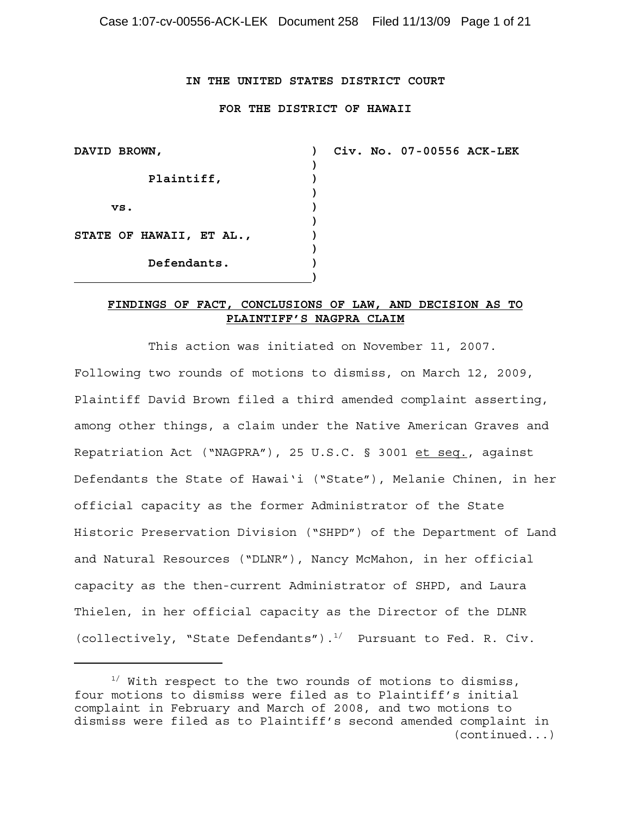### **IN THE UNITED STATES DISTRICT COURT**

#### **FOR THE DISTRICT OF HAWAII**

| DAVID BROWN,             |  |
|--------------------------|--|
|                          |  |
| Plaintiff,               |  |
|                          |  |
| vs.                      |  |
|                          |  |
| STATE OF HAWAII, ET AL., |  |
|                          |  |
| Defendants.              |  |
|                          |  |

**Civ. No. 07-00556 ACK-LEK**

## **FINDINGS OF FACT, CONCLUSIONS OF LAW, AND DECISION AS TO PLAINTIFF'S NAGPRA CLAIM**

This action was initiated on November 11, 2007. Following two rounds of motions to dismiss, on March 12, 2009, Plaintiff David Brown filed a third amended complaint asserting, among other things, a claim under the Native American Graves and Repatriation Act ("NAGPRA"), 25 U.S.C. § 3001 et seq., against Defendants the State of Hawai'i ("State"), Melanie Chinen, in her official capacity as the former Administrator of the State Historic Preservation Division ("SHPD") of the Department of Land and Natural Resources ("DLNR"), Nancy McMahon, in her official capacity as the then-current Administrator of SHPD, and Laura Thielen, in her official capacity as the Director of the DLNR (collectively, "State Defendants"). $^{1/}$  Pursuant to Fed. R. Civ.

 $1/$  With respect to the two rounds of motions to dismiss, four motions to dismiss were filed as to Plaintiff's initial complaint in February and March of 2008, and two motions to dismiss were filed as to Plaintiff's second amended complaint in (continued...)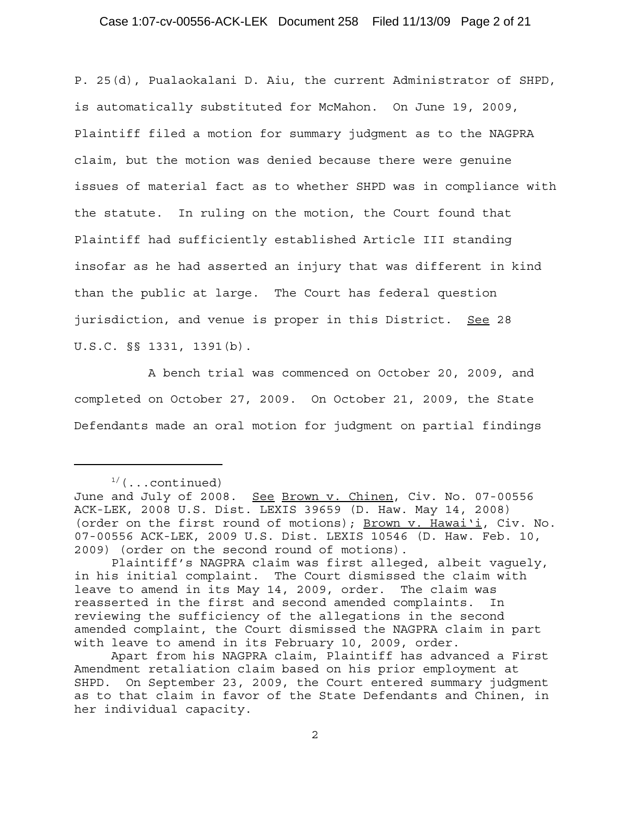### Case 1:07-cv-00556-ACK-LEK Document 258 Filed 11/13/09 Page 2 of 21

P. 25(d), Pualaokalani D. Aiu, the current Administrator of SHPD, is automatically substituted for McMahon. On June 19, 2009, Plaintiff filed a motion for summary judgment as to the NAGPRA claim, but the motion was denied because there were genuine issues of material fact as to whether SHPD was in compliance with the statute. In ruling on the motion, the Court found that Plaintiff had sufficiently established Article III standing insofar as he had asserted an injury that was different in kind than the public at large. The Court has federal question jurisdiction, and venue is proper in this District. See 28 U.S.C. §§ 1331, 1391(b).

A bench trial was commenced on October 20, 2009, and completed on October 27, 2009. On October 21, 2009, the State Defendants made an oral motion for judgment on partial findings

 $1/(...$ continued)

June and July of 2008. See Brown v. Chinen, Civ. No. 07-00556 ACK-LEK, 2008 U.S. Dist. LEXIS 39659 (D. Haw. May 14, 2008) (order on the first round of motions); Brown v. Hawai'i, Civ. No. 07-00556 ACK-LEK, 2009 U.S. Dist. LEXIS 10546 (D. Haw. Feb. 10, 2009) (order on the second round of motions).

Plaintiff's NAGPRA claim was first alleged, albeit vaguely, in his initial complaint. The Court dismissed the claim with leave to amend in its May 14, 2009, order. The claim was reasserted in the first and second amended complaints. In reviewing the sufficiency of the allegations in the second amended complaint, the Court dismissed the NAGPRA claim in part with leave to amend in its February 10, 2009, order.

Apart from his NAGPRA claim, Plaintiff has advanced a First Amendment retaliation claim based on his prior employment at SHPD. On September 23, 2009, the Court entered summary judgment as to that claim in favor of the State Defendants and Chinen, in her individual capacity.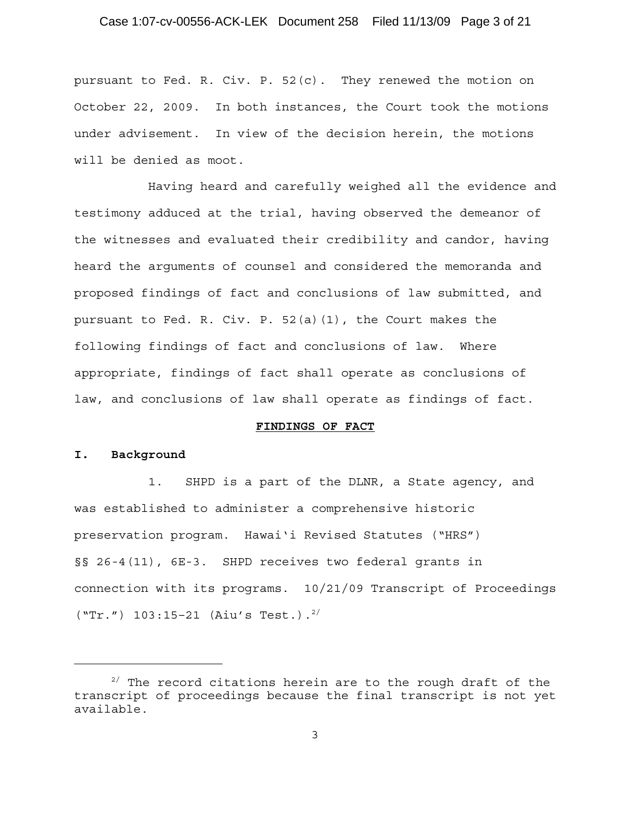# Case 1:07-cv-00556-ACK-LEK Document 258 Filed 11/13/09 Page 3 of 21

pursuant to Fed. R. Civ. P.  $52(c)$ . They renewed the motion on October 22, 2009. In both instances, the Court took the motions under advisement. In view of the decision herein, the motions will be denied as moot.

Having heard and carefully weighed all the evidence and testimony adduced at the trial, having observed the demeanor of the witnesses and evaluated their credibility and candor, having heard the arguments of counsel and considered the memoranda and proposed findings of fact and conclusions of law submitted, and pursuant to Fed. R. Civ. P. 52(a)(1), the Court makes the following findings of fact and conclusions of law. Where appropriate, findings of fact shall operate as conclusions of law, and conclusions of law shall operate as findings of fact.

#### **FINDINGS OF FACT**

#### **I. Background**

1. SHPD is a part of the DLNR, a State agency, and was established to administer a comprehensive historic preservation program. Hawai'i Revised Statutes ("HRS") §§ 26-4(11), 6E-3. SHPD receives two federal grants in connection with its programs. 10/21/09 Transcript of Proceedings  $("Tr." ) 103:15-21 (Aiu's Test.)$ .<sup>2/</sup>

 $2/$  The record citations herein are to the rough draft of the transcript of proceedings because the final transcript is not yet available.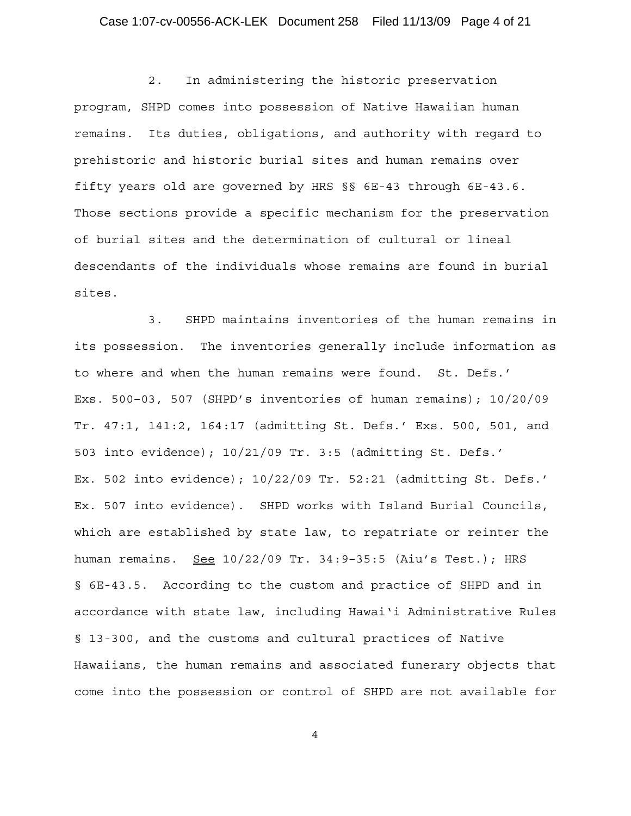# Case 1:07-cv-00556-ACK-LEK Document 258 Filed 11/13/09 Page 4 of 21

2. In administering the historic preservation program, SHPD comes into possession of Native Hawaiian human remains. Its duties, obligations, and authority with regard to prehistoric and historic burial sites and human remains over fifty years old are governed by HRS §§ 6E-43 through 6E-43.6. Those sections provide a specific mechanism for the preservation of burial sites and the determination of cultural or lineal descendants of the individuals whose remains are found in burial sites.

3. SHPD maintains inventories of the human remains in its possession. The inventories generally include information as to where and when the human remains were found. St. Defs.' Exs. 500–03, 507 (SHPD's inventories of human remains); 10/20/09 Tr. 47:1, 141:2, 164:17 (admitting St. Defs.' Exs. 500, 501, and 503 into evidence); 10/21/09 Tr. 3:5 (admitting St. Defs.' Ex. 502 into evidence); 10/22/09 Tr. 52:21 (admitting St. Defs.' Ex. 507 into evidence). SHPD works with Island Burial Councils, which are established by state law, to repatriate or reinter the human remains. See 10/22/09 Tr. 34:9-35:5 (Aiu's Test.); HRS § 6E-43.5. According to the custom and practice of SHPD and in accordance with state law, including Hawai'i Administrative Rules § 13-300, and the customs and cultural practices of Native Hawaiians, the human remains and associated funerary objects that come into the possession or control of SHPD are not available for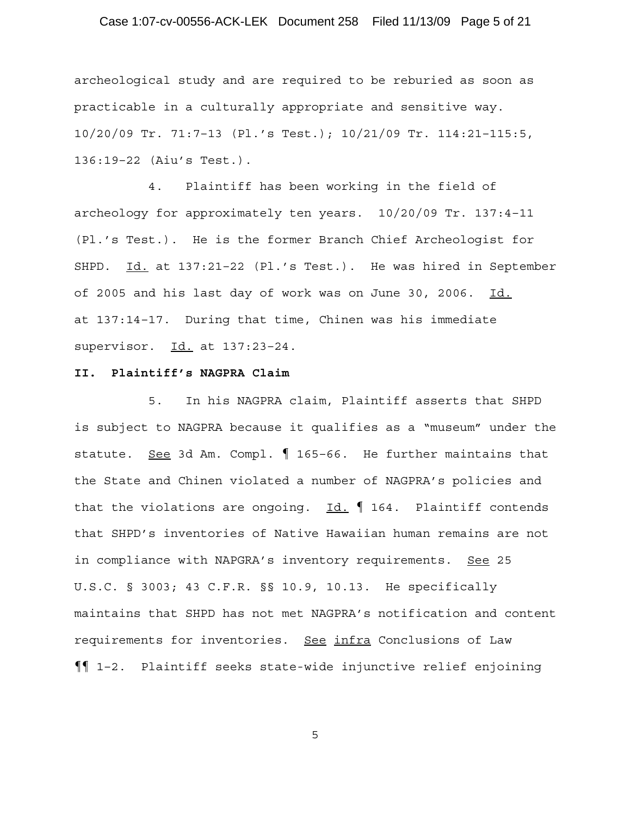# Case 1:07-cv-00556-ACK-LEK Document 258 Filed 11/13/09 Page 5 of 21

archeological study and are required to be reburied as soon as practicable in a culturally appropriate and sensitive way. 10/20/09 Tr. 71:7–13 (Pl.'s Test.); 10/21/09 Tr. 114:21–115:5, 136:19–22 (Aiu's Test.).

4. Plaintiff has been working in the field of archeology for approximately ten years. 10/20/09 Tr. 137:4–11 (Pl.'s Test.). He is the former Branch Chief Archeologist for SHPD. Id. at 137:21-22 (Pl.'s Test.). He was hired in September of 2005 and his last day of work was on June 30, 2006. Id. at 137:14–17. During that time, Chinen was his immediate supervisor. Id. at 137:23–24.

### **II. Plaintiff's NAGPRA Claim**

5. In his NAGPRA claim, Plaintiff asserts that SHPD is subject to NAGPRA because it qualifies as a "museum" under the statute. See 3d Am. Compl. 165-66. He further maintains that the State and Chinen violated a number of NAGPRA's policies and that the violations are ongoing.  $Id. \nI$  164. Plaintiff contends that SHPD's inventories of Native Hawaiian human remains are not in compliance with NAPGRA's inventory requirements. See 25 U.S.C. § 3003; 43 C.F.R. §§ 10.9, 10.13. He specifically maintains that SHPD has not met NAGPRA's notification and content requirements for inventories. See infra Conclusions of Law ¶¶ 1–2. Plaintiff seeks state-wide injunctive relief enjoining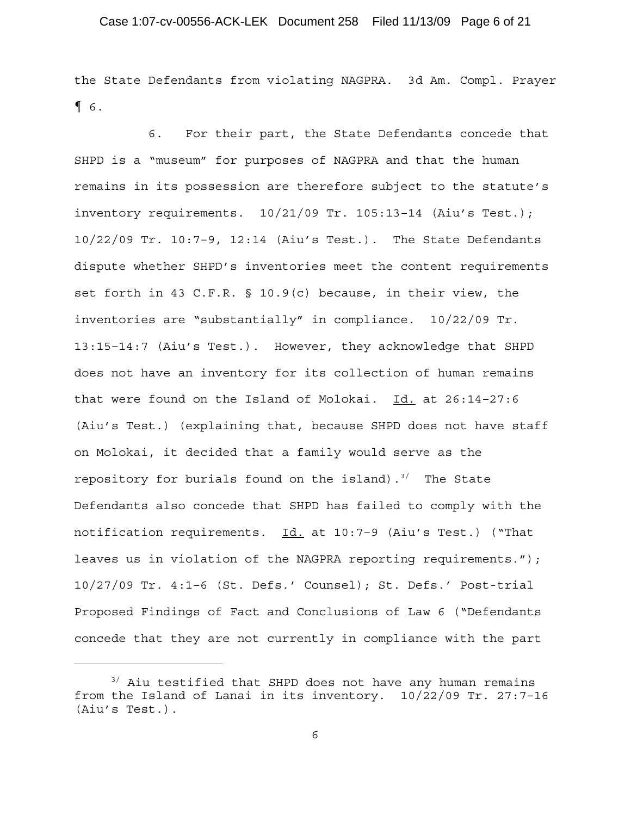the State Defendants from violating NAGPRA. 3d Am. Compl. Prayer ¶ 6.

6. For their part, the State Defendants concede that SHPD is a "museum" for purposes of NAGPRA and that the human remains in its possession are therefore subject to the statute's inventory requirements. 10/21/09 Tr. 105:13–14 (Aiu's Test.); 10/22/09 Tr. 10:7–9, 12:14 (Aiu's Test.). The State Defendants dispute whether SHPD's inventories meet the content requirements set forth in 43 C.F.R. § 10.9(c) because, in their view, the inventories are "substantially" in compliance. 10/22/09 Tr. 13:15–14:7 (Aiu's Test.). However, they acknowledge that SHPD does not have an inventory for its collection of human remains that were found on the Island of Molokai. Id. at 26:14–27:6 (Aiu's Test.) (explaining that, because SHPD does not have staff on Molokai, it decided that a family would serve as the repository for burials found on the island).<sup>3</sup>/ The State Defendants also concede that SHPD has failed to comply with the notification requirements. Id. at 10:7-9 (Aiu's Test.) ("That leaves us in violation of the NAGPRA reporting requirements."); 10/27/09 Tr. 4:1–6 (St. Defs.' Counsel); St. Defs.' Post-trial Proposed Findings of Fact and Conclusions of Law 6 ("Defendants concede that they are not currently in compliance with the part

 $3'$  Aiu testified that SHPD does not have any human remains from the Island of Lanai in its inventory. 10/22/09 Tr. 27:7–16 (Aiu's Test.).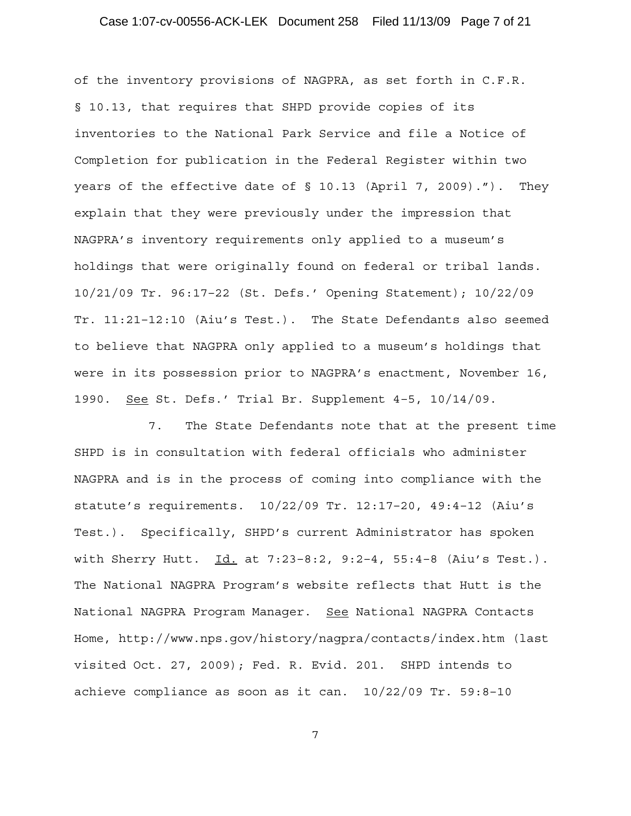# Case 1:07-cv-00556-ACK-LEK Document 258 Filed 11/13/09 Page 7 of 21

of the inventory provisions of NAGPRA, as set forth in C.F.R. § 10.13, that requires that SHPD provide copies of its inventories to the National Park Service and file a Notice of Completion for publication in the Federal Register within two years of the effective date of § 10.13 (April 7, 2009)."). They explain that they were previously under the impression that NAGPRA's inventory requirements only applied to a museum's holdings that were originally found on federal or tribal lands. 10/21/09 Tr. 96:17–22 (St. Defs.' Opening Statement); 10/22/09 Tr. 11:21–12:10 (Aiu's Test.). The State Defendants also seemed to believe that NAGPRA only applied to a museum's holdings that were in its possession prior to NAGPRA's enactment, November 16, 1990. See St. Defs.' Trial Br. Supplement 4–5, 10/14/09.

7. The State Defendants note that at the present time SHPD is in consultation with federal officials who administer NAGPRA and is in the process of coming into compliance with the statute's requirements. 10/22/09 Tr. 12:17–20, 49:4–12 (Aiu's Test.). Specifically, SHPD's current Administrator has spoken with Sherry Hutt.  $Id.$  at 7:23-8:2, 9:2-4, 55:4-8 (Aiu's Test.). The National NAGPRA Program's website reflects that Hutt is the National NAGPRA Program Manager. See National NAGPRA Contacts Home, http://www.nps.gov/history/nagpra/contacts/index.htm (last visited Oct. 27, 2009); Fed. R. Evid. 201. SHPD intends to achieve compliance as soon as it can. 10/22/09 Tr. 59:8–10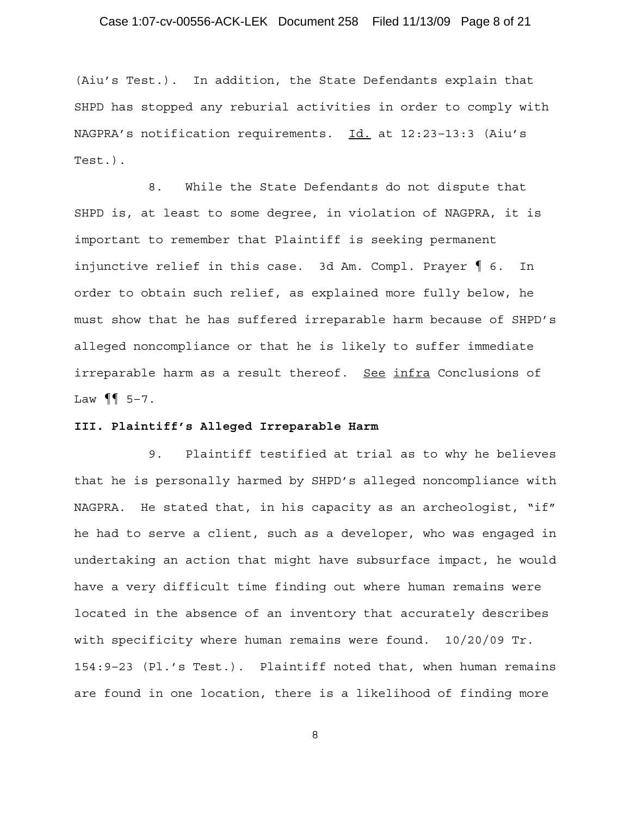# Case 1:07-cv-00556-ACK-LEK Document 258 Filed 11/13/09 Page 8 of 21

(Aiu's Test.). In addition, the State Defendants explain that SHPD has stopped any reburial activities in order to comply with NAGPRA's notification requirements. Id. at 12:23–13:3 (Aiu's Test.).

8. While the State Defendants do not dispute that SHPD is, at least to some degree, in violation of NAGPRA, it is important to remember that Plaintiff is seeking permanent injunctive relief in this case. 3d Am. Compl. Prayer ¶ 6. In order to obtain such relief, as explained more fully below, he must show that he has suffered irreparable harm because of SHPD's alleged noncompliance or that he is likely to suffer immediate irreparable harm as a result thereof. See infra Conclusions of Law  $\P\P$  5-7.

#### **III. Plaintiff's Alleged Irreparable Harm**

9. Plaintiff testified at trial as to why he believes that he is personally harmed by SHPD's alleged noncompliance with NAGPRA. He stated that, in his capacity as an archeologist, "if" he had to serve a client, such as a developer, who was engaged in undertaking an action that might have subsurface impact, he would have a very difficult time finding out where human remains were located in the absence of an inventory that accurately describes with specificity where human remains were found. 10/20/09 Tr. 154:9–23 (Pl.'s Test.). Plaintiff noted that, when human remains are found in one location, there is a likelihood of finding more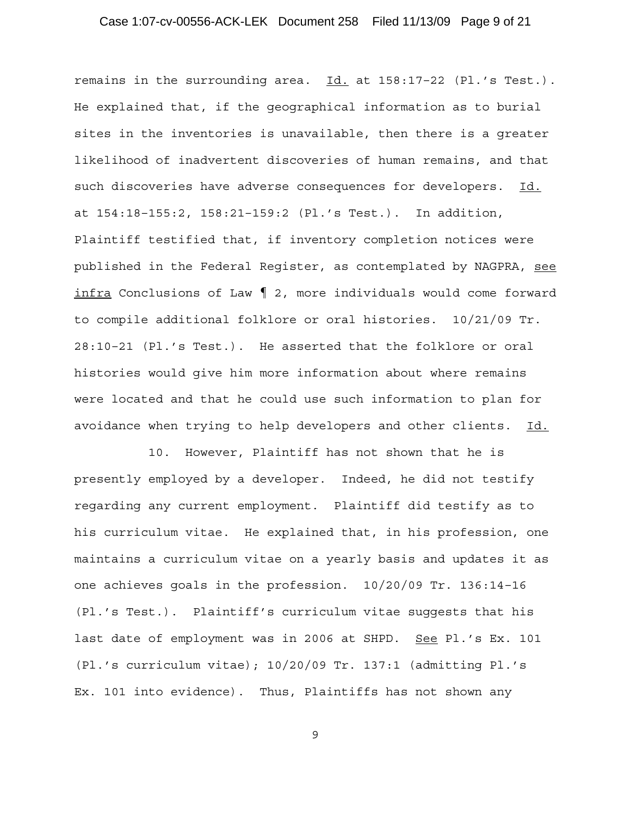# Case 1:07-cv-00556-ACK-LEK Document 258 Filed 11/13/09 Page 9 of 21

remains in the surrounding area.  $\underline{Id.}$  at  $158:17-22$  (Pl.'s Test.). He explained that, if the geographical information as to burial sites in the inventories is unavailable, then there is a greater likelihood of inadvertent discoveries of human remains, and that such discoveries have adverse consequences for developers. Id. at 154:18–155:2, 158:21–159:2 (Pl.'s Test.). In addition, Plaintiff testified that, if inventory completion notices were published in the Federal Register, as contemplated by NAGPRA, see infra Conclusions of Law ¶ 2, more individuals would come forward to compile additional folklore or oral histories. 10/21/09 Tr. 28:10–21 (Pl.'s Test.). He asserted that the folklore or oral histories would give him more information about where remains were located and that he could use such information to plan for avoidance when trying to help developers and other clients. Id.

10. However, Plaintiff has not shown that he is presently employed by a developer. Indeed, he did not testify regarding any current employment. Plaintiff did testify as to his curriculum vitae. He explained that, in his profession, one maintains a curriculum vitae on a yearly basis and updates it as one achieves goals in the profession. 10/20/09 Tr. 136:14–16 (Pl.'s Test.). Plaintiff's curriculum vitae suggests that his last date of employment was in 2006 at SHPD. See Pl.'s Ex. 101 (Pl.'s curriculum vitae); 10/20/09 Tr. 137:1 (admitting Pl.'s Ex. 101 into evidence). Thus, Plaintiffs has not shown any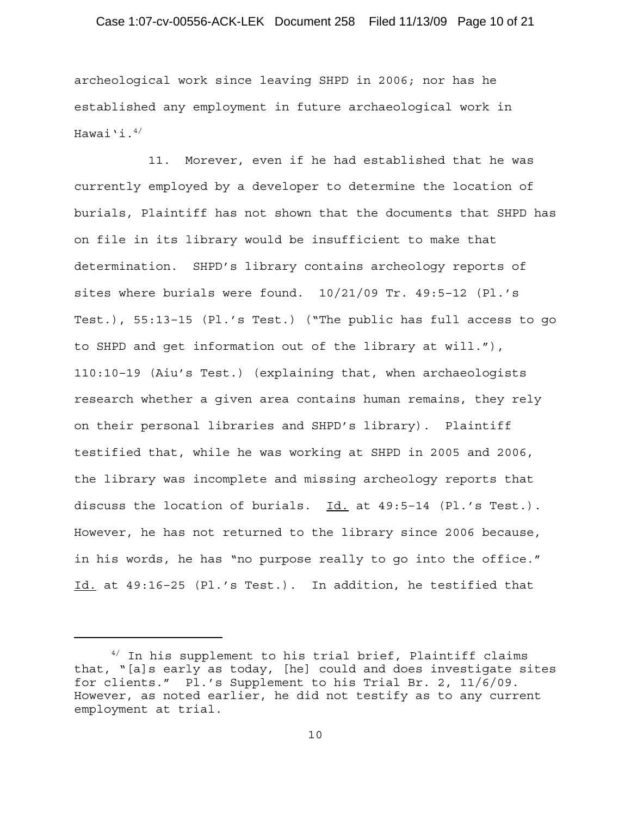### Case 1:07-cv-00556-ACK-LEK Document 258 Filed 11/13/09 Page 10 of 21

archeological work since leaving SHPD in 2006; nor has he established any employment in future archaeological work in Hawai'i. $4/$ 

11. Morever, even if he had established that he was currently employed by a developer to determine the location of burials, Plaintiff has not shown that the documents that SHPD has on file in its library would be insufficient to make that determination. SHPD's library contains archeology reports of sites where burials were found. 10/21/09 Tr. 49:5–12 (Pl.'s Test.), 55:13–15 (Pl.'s Test.) ("The public has full access to go to SHPD and get information out of the library at will."), 110:10–19 (Aiu's Test.) (explaining that, when archaeologists research whether a given area contains human remains, they rely on their personal libraries and SHPD's library). Plaintiff testified that, while he was working at SHPD in 2005 and 2006, the library was incomplete and missing archeology reports that discuss the location of burials. Id. at 49:5-14 (Pl.'s Test.). However, he has not returned to the library since 2006 because, in his words, he has "no purpose really to go into the office." Id. at 49:16–25 (Pl.'s Test.). In addition, he testified that

<sup>&</sup>lt;sup>4/</sup> In his supplement to his trial brief, Plaintiff claims that, "[a]s early as today, [he] could and does investigate sites for clients." Pl.'s Supplement to his Trial Br. 2, 11/6/09. However, as noted earlier, he did not testify as to any current employment at trial.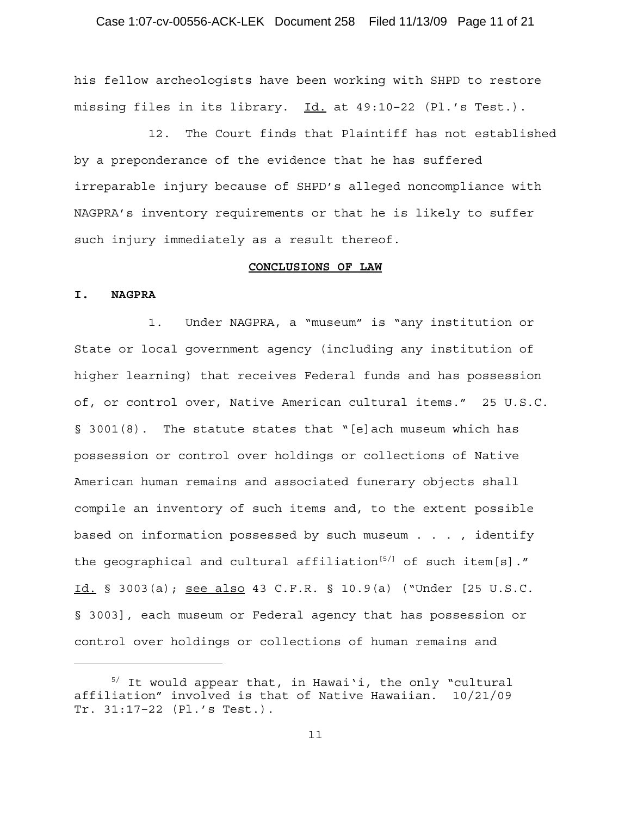### Case 1:07-cv-00556-ACK-LEK Document 258 Filed 11/13/09 Page 11 of 21

his fellow archeologists have been working with SHPD to restore missing files in its library. Id. at 49:10–22 (Pl.'s Test.).

12. The Court finds that Plaintiff has not established by a preponderance of the evidence that he has suffered irreparable injury because of SHPD's alleged noncompliance with NAGPRA's inventory requirements or that he is likely to suffer such injury immediately as a result thereof.

#### **CONCLUSIONS OF LAW**

#### **I. NAGPRA**

1. Under NAGPRA, a "museum" is "any institution or State or local government agency (including any institution of higher learning) that receives Federal funds and has possession of, or control over, Native American cultural items." 25 U.S.C. § 3001(8). The statute states that "[e]ach museum which has possession or control over holdings or collections of Native American human remains and associated funerary objects shall compile an inventory of such items and, to the extent possible based on information possessed by such museum . . . , identify the geographical and cultural affiliation<sup>[5/]</sup> of such item[s]." Id. § 3003(a); see also 43 C.F.R. § 10.9(a) ("Under [25 U.S.C. § 3003], each museum or Federal agency that has possession or control over holdings or collections of human remains and

 $5/$  It would appear that, in Hawai'i, the only "cultural affiliation" involved is that of Native Hawaiian. 10/21/09 Tr. 31:17–22 (Pl.'s Test.).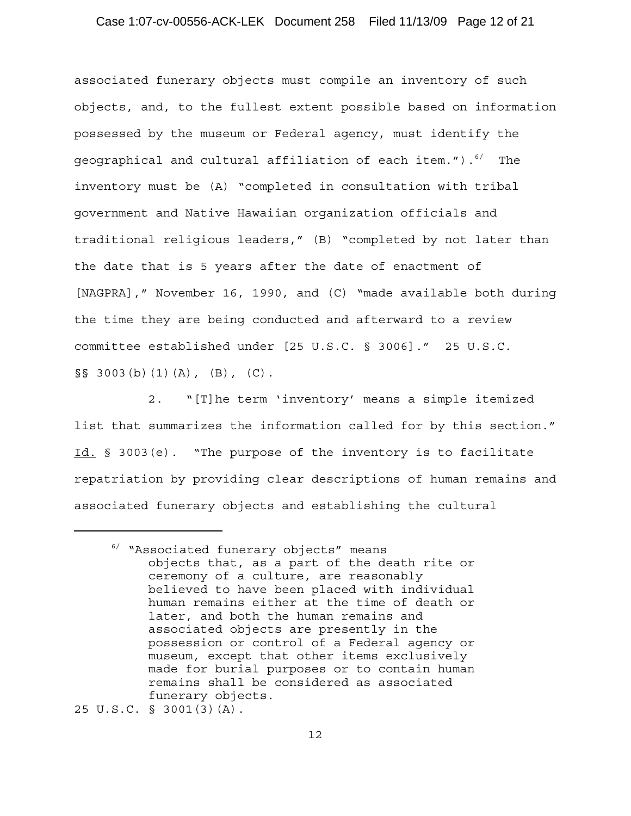### Case 1:07-cv-00556-ACK-LEK Document 258 Filed 11/13/09 Page 12 of 21

associated funerary objects must compile an inventory of such objects, and, to the fullest extent possible based on information possessed by the museum or Federal agency, must identify the geographical and cultural affiliation of each item.").<sup>6/</sup> The inventory must be (A) "completed in consultation with tribal government and Native Hawaiian organization officials and traditional religious leaders," (B) "completed by not later than the date that is 5 years after the date of enactment of [NAGPRA]," November 16, 1990, and (C) "made available both during the time they are being conducted and afterward to a review committee established under [25 U.S.C. § 3006]." 25 U.S.C.  $\S$ § 3003(b)(1)(A), (B), (C).

2. "[T]he term 'inventory' means a simple itemized list that summarizes the information called for by this section." Id. § 3003(e). "The purpose of the inventory is to facilitate repatriation by providing clear descriptions of human remains and associated funerary objects and establishing the cultural

25 U.S.C. § 3001(3)(A).

<sup>6/ &</sup>quot;Associated funerary objects" means objects that, as a part of the death rite or ceremony of a culture, are reasonably believed to have been placed with individual human remains either at the time of death or later, and both the human remains and associated objects are presently in the possession or control of a Federal agency or museum, except that other items exclusively made for burial purposes or to contain human remains shall be considered as associated funerary objects.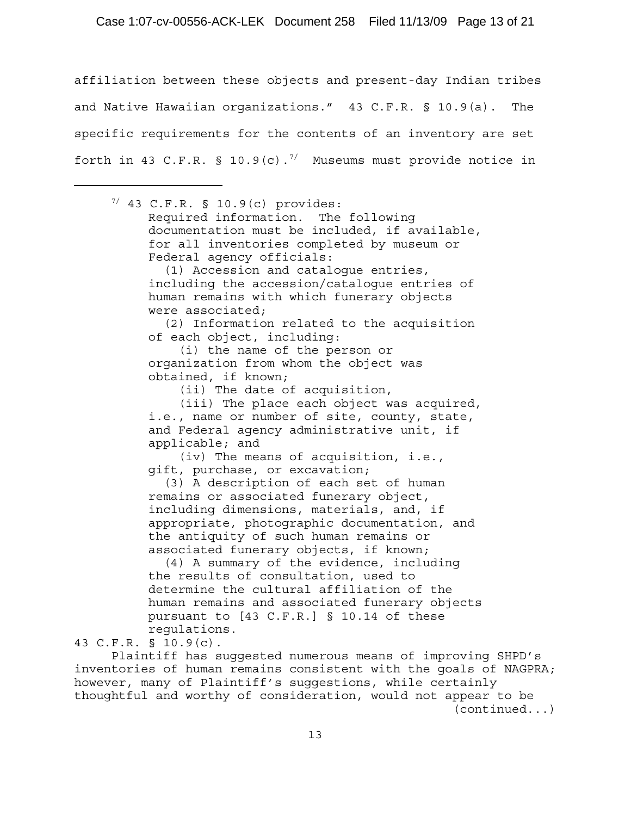### Case 1:07-cv-00556-ACK-LEK Document 258 Filed 11/13/09 Page 13 of 21

affiliation between these objects and present-day Indian tribes and Native Hawaiian organizations." 43 C.F.R. § 10.9(a). The specific requirements for the contents of an inventory are set forth in 43 C.F.R. § 10.9(c).<sup>7/</sup> Museums must provide notice in

 $7/43$  C.F.R. § 10.9(c) provides: Required information. The following documentation must be included, if available, for all inventories completed by museum or Federal agency officials: (1) Accession and catalogue entries, including the accession/catalogue entries of human remains with which funerary objects were associated; (2) Information related to the acquisition of each object, including: (i) the name of the person or organization from whom the object was obtained, if known; (ii) The date of acquisition, (iii) The place each object was acquired, i.e., name or number of site, county, state, and Federal agency administrative unit, if applicable; and (iv) The means of acquisition, i.e., gift, purchase, or excavation; (3) A description of each set of human remains or associated funerary object, including dimensions, materials, and, if appropriate, photographic documentation, and the antiquity of such human remains or associated funerary objects, if known; (4) A summary of the evidence, including the results of consultation, used to determine the cultural affiliation of the human remains and associated funerary objects

pursuant to [43 C.F.R.] § 10.14 of these regulations.

43 C.F.R. § 10.9(c).

Plaintiff has suggested numerous means of improving SHPD's inventories of human remains consistent with the goals of NAGPRA; however, many of Plaintiff's suggestions, while certainly thoughtful and worthy of consideration, would not appear to be (continued...)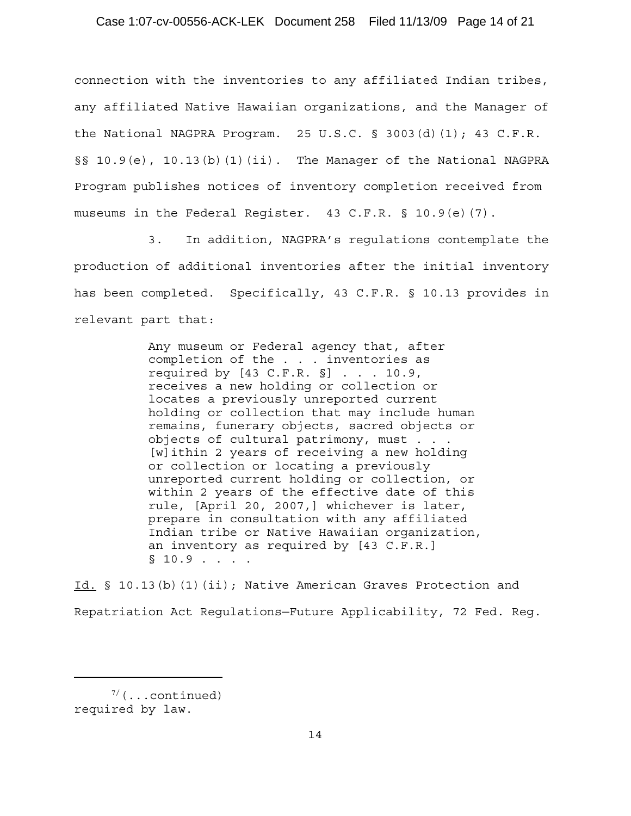connection with the inventories to any affiliated Indian tribes, any affiliated Native Hawaiian organizations, and the Manager of the National NAGPRA Program. 25 U.S.C. § 3003(d)(1); 43 C.F.R. §§ 10.9(e), 10.13(b)(1)(ii). The Manager of the National NAGPRA Program publishes notices of inventory completion received from museums in the Federal Register. 43 C.F.R. § 10.9(e)(7).

3. In addition, NAGPRA's regulations contemplate the production of additional inventories after the initial inventory has been completed. Specifically, 43 C.F.R. § 10.13 provides in relevant part that:

> Any museum or Federal agency that, after completion of the . . . inventories as required by  $[43 \text{ C.F.R. }$   $]$  . . . 10.9, receives a new holding or collection or locates a previously unreported current holding or collection that may include human remains, funerary objects, sacred objects or objects of cultural patrimony, must . . . [w]ithin 2 years of receiving a new holding or collection or locating a previously unreported current holding or collection, or within 2 years of the effective date of this rule, [April 20, 2007,] whichever is later, prepare in consultation with any affiliated Indian tribe or Native Hawaiian organization, an inventory as required by [43 C.F.R.]  $\S 10.9$  . . . .

Id. § 10.13(b)(1)(ii); Native American Graves Protection and Repatriation Act Regulations—Future Applicability, 72 Fed. Reg.

 $7/$ (...continued) required by law.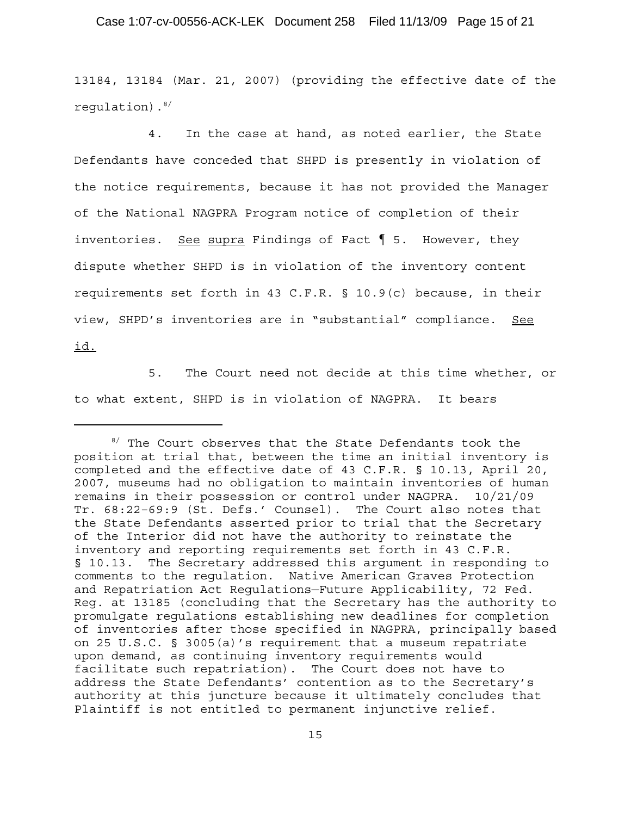### Case 1:07-cv-00556-ACK-LEK Document 258 Filed 11/13/09 Page 15 of 21

13184, 13184 (Mar. 21, 2007) (providing the effective date of the regulation).8/

4. In the case at hand, as noted earlier, the State Defendants have conceded that SHPD is presently in violation of the notice requirements, because it has not provided the Manager of the National NAGPRA Program notice of completion of their inventories. <u>See supra</u> Findings of Fact  $\parallel$  5. However, they dispute whether SHPD is in violation of the inventory content requirements set forth in 43 C.F.R. § 10.9(c) because, in their view, SHPD's inventories are in "substantial" compliance. See id.

5. The Court need not decide at this time whether, or to what extent, SHPD is in violation of NAGPRA. It bears

<sup>&</sup>lt;sup>8/</sup> The Court observes that the State Defendants took the position at trial that, between the time an initial inventory is completed and the effective date of 43 C.F.R. § 10.13, April 20, 2007, museums had no obligation to maintain inventories of human remains in their possession or control under NAGPRA. 10/21/09 Tr. 68:22–69:9 (St. Defs.' Counsel). The Court also notes that the State Defendants asserted prior to trial that the Secretary of the Interior did not have the authority to reinstate the inventory and reporting requirements set forth in 43 C.F.R. § 10.13. The Secretary addressed this argument in responding to comments to the regulation. Native American Graves Protection and Repatriation Act Regulations—Future Applicability, 72 Fed. Reg. at 13185 (concluding that the Secretary has the authority to promulgate regulations establishing new deadlines for completion of inventories after those specified in NAGPRA, principally based on 25 U.S.C. § 3005(a)'s requirement that a museum repatriate upon demand, as continuing inventory requirements would facilitate such repatriation). The Court does not have to address the State Defendants' contention as to the Secretary's authority at this juncture because it ultimately concludes that Plaintiff is not entitled to permanent injunctive relief.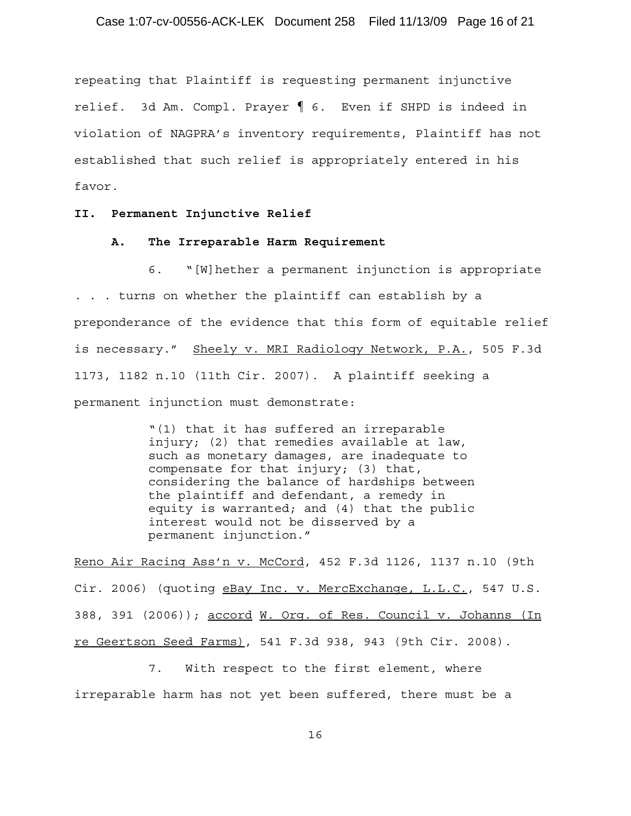repeating that Plaintiff is requesting permanent injunctive relief. 3d Am. Compl. Prayer ¶ 6. Even if SHPD is indeed in violation of NAGPRA's inventory requirements, Plaintiff has not established that such relief is appropriately entered in his favor.

#### **II. Permanent Injunctive Relief**

#### **A. The Irreparable Harm Requirement**

6. "[W]hether a permanent injunction is appropriate . . . turns on whether the plaintiff can establish by a preponderance of the evidence that this form of equitable relief is necessary." Sheely v. MRI Radiology Network, P.A., 505 F.3d 1173, 1182 n.10 (11th Cir. 2007). A plaintiff seeking a permanent injunction must demonstrate:

> "(1) that it has suffered an irreparable injury; (2) that remedies available at law, such as monetary damages, are inadequate to compensate for that injury; (3) that, considering the balance of hardships between the plaintiff and defendant, a remedy in equity is warranted; and (4) that the public interest would not be disserved by a permanent injunction."

Reno Air Racing Ass'n v. McCord, 452 F.3d 1126, 1137 n.10 (9th Cir. 2006) (quoting eBay Inc. v. MercExchange, L.L.C., 547 U.S. 388, 391 (2006)); accord W. Org. of Res. Council v. Johanns (In re Geertson Seed Farms), 541 F.3d 938, 943 (9th Cir. 2008).

7. With respect to the first element, where irreparable harm has not yet been suffered, there must be a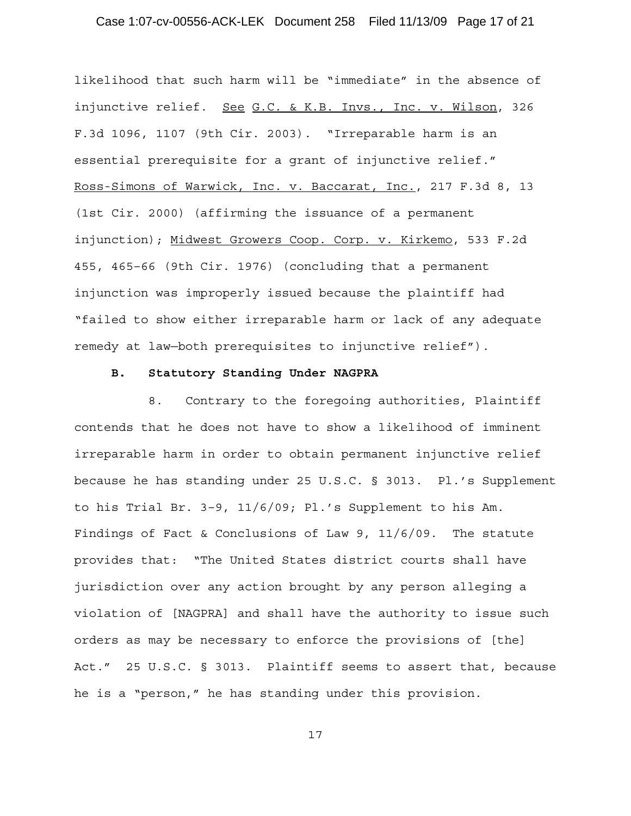# Case 1:07-cv-00556-ACK-LEK Document 258 Filed 11/13/09 Page 17 of 21

likelihood that such harm will be "immediate" in the absence of injunctive relief. See G.C. & K.B. Invs., Inc. v. Wilson, 326 F.3d 1096, 1107 (9th Cir. 2003). "Irreparable harm is an essential prerequisite for a grant of injunctive relief." Ross-Simons of Warwick, Inc. v. Baccarat, Inc., 217 F.3d 8, 13 (1st Cir. 2000) (affirming the issuance of a permanent injunction); Midwest Growers Coop. Corp. v. Kirkemo, 533 F.2d 455, 465–66 (9th Cir. 1976) (concluding that a permanent injunction was improperly issued because the plaintiff had "failed to show either irreparable harm or lack of any adequate remedy at law—both prerequisites to injunctive relief").

## **B. Statutory Standing Under NAGPRA**

8. Contrary to the foregoing authorities, Plaintiff contends that he does not have to show a likelihood of imminent irreparable harm in order to obtain permanent injunctive relief because he has standing under 25 U.S.C. § 3013. Pl.'s Supplement to his Trial Br. 3–9, 11/6/09; Pl.'s Supplement to his Am. Findings of Fact & Conclusions of Law 9, 11/6/09. The statute provides that: "The United States district courts shall have jurisdiction over any action brought by any person alleging a violation of [NAGPRA] and shall have the authority to issue such orders as may be necessary to enforce the provisions of [the] Act." 25 U.S.C. § 3013. Plaintiff seems to assert that, because he is a "person," he has standing under this provision.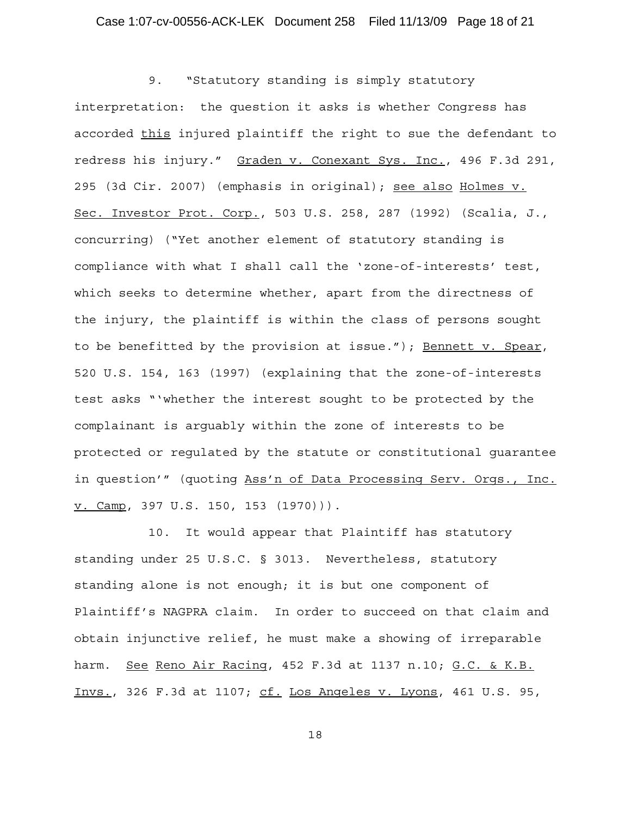9. "Statutory standing is simply statutory interpretation: the question it asks is whether Congress has accorded this injured plaintiff the right to sue the defendant to redress his injury." Graden v. Conexant Sys. Inc., 496 F.3d 291, 295 (3d Cir. 2007) (emphasis in original); see also Holmes v. Sec. Investor Prot. Corp., 503 U.S. 258, 287 (1992) (Scalia, J., concurring) ("Yet another element of statutory standing is compliance with what I shall call the 'zone-of-interests' test, which seeks to determine whether, apart from the directness of the injury, the plaintiff is within the class of persons sought to be benefitted by the provision at issue."); Bennett v. Spear, 520 U.S. 154, 163 (1997) (explaining that the zone-of-interests test asks "'whether the interest sought to be protected by the complainant is arguably within the zone of interests to be protected or regulated by the statute or constitutional guarantee in question'" (quoting Ass'n of Data Processing Serv. Orgs., Inc. v. Camp, 397 U.S. 150, 153 (1970))).

10. It would appear that Plaintiff has statutory standing under 25 U.S.C. § 3013. Nevertheless, statutory standing alone is not enough; it is but one component of Plaintiff's NAGPRA claim. In order to succeed on that claim and obtain injunctive relief, he must make a showing of irreparable harm. See Reno Air Racing, 452 F.3d at 1137 n.10; G.C. & K.B. Invs., 326 F.3d at 1107; cf. Los Angeles v. Lyons, 461 U.S. 95,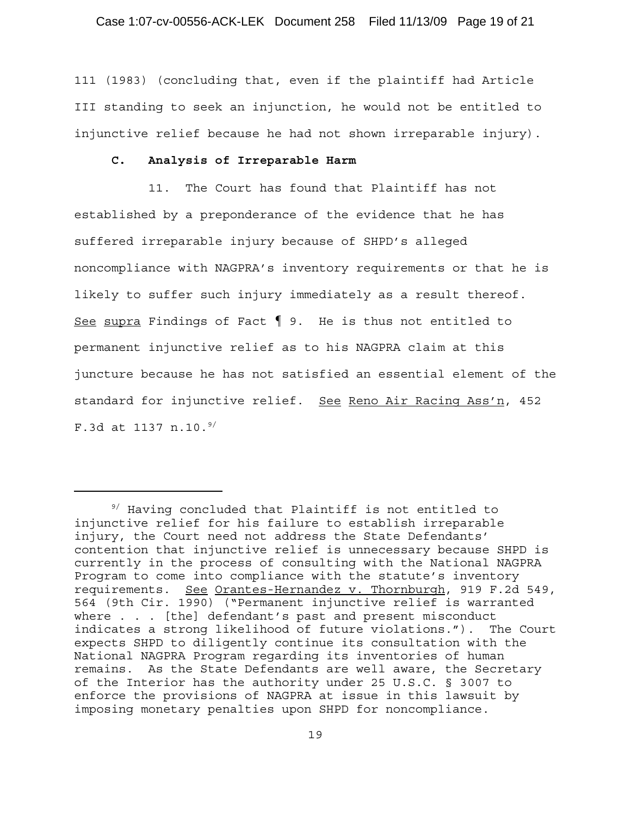111 (1983) (concluding that, even if the plaintiff had Article III standing to seek an injunction, he would not be entitled to injunctive relief because he had not shown irreparable injury).

# **C. Analysis of Irreparable Harm**

11. The Court has found that Plaintiff has not established by a preponderance of the evidence that he has suffered irreparable injury because of SHPD's alleged noncompliance with NAGPRA's inventory requirements or that he is likely to suffer such injury immediately as a result thereof. See supra Findings of Fact  $\P$  9. He is thus not entitled to permanent injunctive relief as to his NAGPRA claim at this juncture because he has not satisfied an essential element of the standard for injunctive relief. See Reno Air Racing Ass'n, 452 F.3d at 1137 n.10. $9/$ 

<sup>&</sup>lt;sup>9/</sup> Having concluded that Plaintiff is not entitled to injunctive relief for his failure to establish irreparable injury, the Court need not address the State Defendants' contention that injunctive relief is unnecessary because SHPD is currently in the process of consulting with the National NAGPRA Program to come into compliance with the statute's inventory requirements. See Orantes-Hernandez v. Thornburgh, 919 F.2d 549, 564 (9th Cir. 1990) ("Permanent injunctive relief is warranted where . . . [the] defendant's past and present misconduct indicates a strong likelihood of future violations."). The Court expects SHPD to diligently continue its consultation with the National NAGPRA Program regarding its inventories of human remains. As the State Defendants are well aware, the Secretary of the Interior has the authority under 25 U.S.C. § 3007 to enforce the provisions of NAGPRA at issue in this lawsuit by imposing monetary penalties upon SHPD for noncompliance.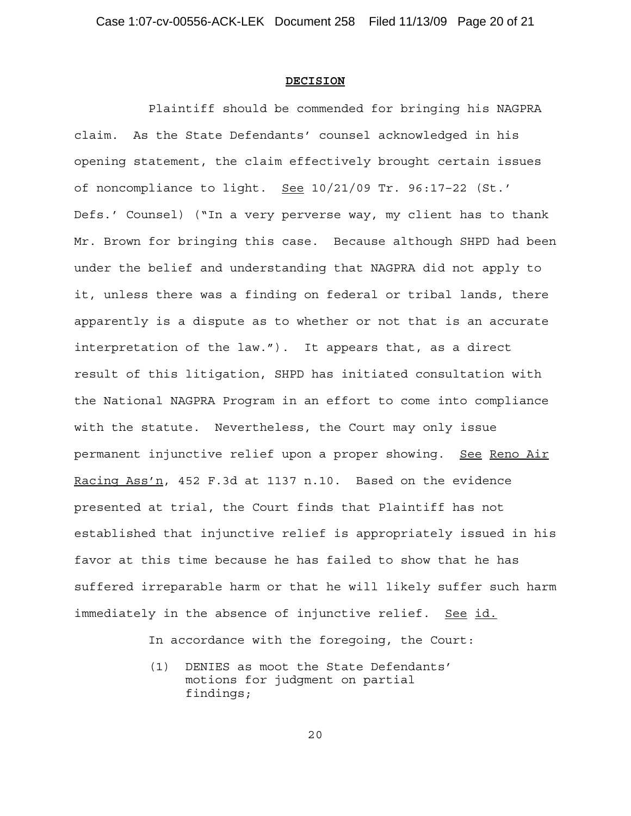#### **DECISION**

Plaintiff should be commended for bringing his NAGPRA claim. As the State Defendants' counsel acknowledged in his opening statement, the claim effectively brought certain issues of noncompliance to light. See 10/21/09 Tr. 96:17–22 (St.' Defs.' Counsel) ("In a very perverse way, my client has to thank Mr. Brown for bringing this case. Because although SHPD had been under the belief and understanding that NAGPRA did not apply to it, unless there was a finding on federal or tribal lands, there apparently is a dispute as to whether or not that is an accurate interpretation of the law."). It appears that, as a direct result of this litigation, SHPD has initiated consultation with the National NAGPRA Program in an effort to come into compliance with the statute. Nevertheless, the Court may only issue permanent injunctive relief upon a proper showing. See Reno Air Racing Ass'n, 452 F.3d at 1137 n.10. Based on the evidence presented at trial, the Court finds that Plaintiff has not established that injunctive relief is appropriately issued in his favor at this time because he has failed to show that he has suffered irreparable harm or that he will likely suffer such harm immediately in the absence of injunctive relief. See id.

In accordance with the foregoing, the Court:

(1) DENIES as moot the State Defendants' motions for judgment on partial findings;